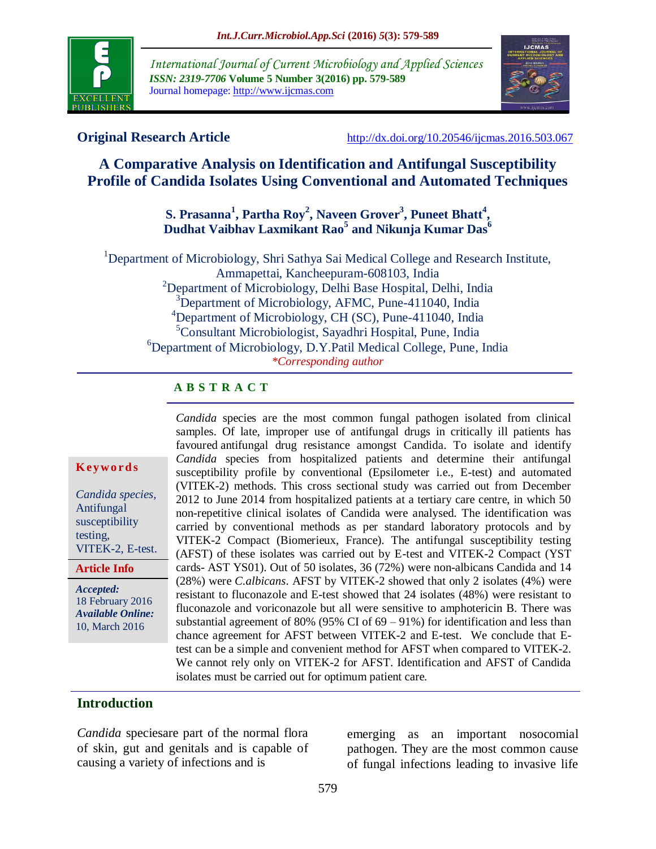

*International Journal of Current Microbiology and Applied Sciences ISSN: 2319-7706* **Volume 5 Number 3(2016) pp. 579-589** Journal homepage: http://www.ijcmas.com



**Original Research Article** <http://dx.doi.org/10.20546/ijcmas.2016.503.067>

# **A Comparative Analysis on Identification and Antifungal Susceptibility Profile of Candida Isolates Using Conventional and Automated Techniques**

# **S. Prasanna<sup>1</sup> , Partha Roy<sup>2</sup> , Naveen Grover 3 , Puneet Bhatt<sup>4</sup> , Dudhat Vaibhav Laxmikant Rao<sup>5</sup> and Nikunja Kumar Das<sup>6</sup>**

<sup>1</sup>Department of Microbiology, Shri Sathya Sai Medical College and Research Institute, Ammapettai, Kancheepuram-608103, India <sup>2</sup>Department of Microbiology, Delhi Base Hospital, Delhi, India <sup>3</sup>Department of Microbiology, AFMC, Pune-411040, India <sup>4</sup>Department of Microbiology, CH (SC), Pune-411040, India <sup>5</sup>Consultant Microbiologist, Sayadhri Hospital, Pune, India <sup>6</sup>Department of Microbiology, D.Y.Patil Medical College, Pune, India *\*Corresponding author*

#### **A B S T R A C T**

#### **K ey w o rd s**

*Candida species,*  Antifungal susceptibility testing, VITEK-2, E-test.

#### **Article Info**

*Accepted:*  18 February 2016 *Available Online:* 10, March 2016

*Candida* species are the most common fungal pathogen isolated from clinical samples. Of late, improper use of antifungal drugs in critically ill patients has favoured antifungal drug resistance amongst Candida. To isolate and identify *Candida* species from hospitalized patients and determine their antifungal susceptibility profile by conventional (Epsilometer i.e., E-test) and automated (VITEK-2) methods. This cross sectional study was carried out from December 2012 to June 2014 from hospitalized patients at a tertiary care centre, in which 50 non-repetitive clinical isolates of Candida were analysed. The identification was carried by conventional methods as per standard laboratory protocols and by VITEK-2 Compact (Biomerieux, France). The antifungal susceptibility testing (AFST) of these isolates was carried out by E-test and VITEK-2 Compact (YST cards- AST YS01). Out of 50 isolates, 36 (72%) were non-albicans Candida and 14 (28%) were *C.albicans*. AFST by VITEK-2 showed that only 2 isolates (4%) were resistant to fluconazole and E-test showed that 24 isolates (48%) were resistant to fluconazole and voriconazole but all were sensitive to amphotericin B. There was substantial agreement of 80% (95% CI of 69 – 91%) for identification and less than chance agreement for AFST between VITEK-2 and E-test. We conclude that Etest can be a simple and convenient method for AFST when compared to VITEK-2. We cannot rely only on VITEK-2 for AFST. Identification and AFST of Candida isolates must be carried out for optimum patient care.

## **Introduction**

*Candida* speciesare part of the normal flora of skin, gut and genitals and is capable of causing a variety of infections and is

emerging as an important nosocomial pathogen. They are the most common cause of fungal infections leading to invasive life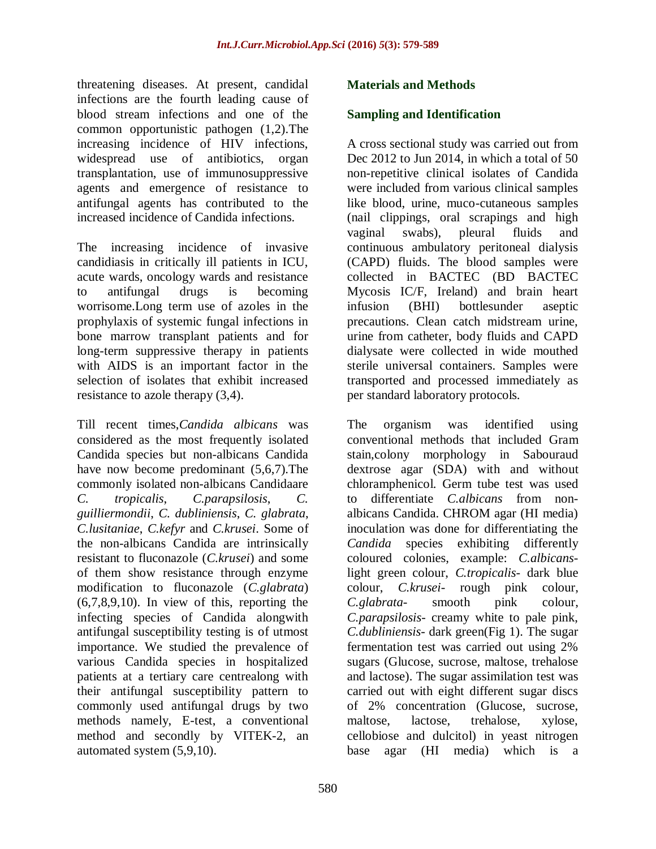threatening diseases. At present, candidal infections are the fourth leading cause of blood stream infections and one of the common opportunistic pathogen (1,2).The increasing incidence of HIV infections, widespread use of antibiotics, organ transplantation, use of immunosuppressive agents and emergence of resistance to antifungal agents has contributed to the increased incidence of Candida infections.

The increasing incidence of invasive candidiasis in critically ill patients in ICU, acute wards, oncology wards and resistance to antifungal drugs is becoming worrisome.Long term use of azoles in the prophylaxis of systemic fungal infections in bone marrow transplant patients and for long-term suppressive therapy in patients with AIDS is an important factor in the selection of isolates that exhibit increased resistance to azole therapy (3,4).

Till recent times,*Candida albicans* was considered as the most frequently isolated Candida species but non-albicans Candida have now become predominant (5,6,7).The commonly isolated non-albicans Candidaare *C. tropicalis*, *C.parapsilosis*, *C. guilliermondii*, *C. dubliniensis*, *C. glabrata*, *C.lusitaniae*, *C.kefyr* and *C.krusei*. Some of the non-albicans Candida are intrinsically resistant to fluconazole (*C.krusei*) and some of them show resistance through enzyme modification to fluconazole (*C.glabrata*)  $(6,7,8,9,10)$ . In view of this, reporting the infecting species of Candida alongwith antifungal susceptibility testing is of utmost importance. We studied the prevalence of various Candida species in hospitalized patients at a tertiary care centrealong with their antifungal susceptibility pattern to commonly used antifungal drugs by two methods namely, E-test, a conventional method and secondly by VITEK-2, an automated system (5,9,10).

# **Materials and Methods**

# **Sampling and Identification**

A cross sectional study was carried out from Dec 2012 to Jun 2014, in which a total of 50 non-repetitive clinical isolates of Candida were included from various clinical samples like blood, urine, muco-cutaneous samples (nail clippings, oral scrapings and high vaginal swabs), pleural fluids and continuous ambulatory peritoneal dialysis (CAPD) fluids. The blood samples were collected in BACTEC (BD BACTEC Mycosis IC/F, Ireland) and brain heart infusion (BHI) bottlesunder aseptic precautions. Clean catch midstream urine, urine from catheter, body fluids and CAPD dialysate were collected in wide mouthed sterile universal containers. Samples were transported and processed immediately as per standard laboratory protocols.

The organism was identified using conventional methods that included Gram stain,colony morphology in Sabouraud dextrose agar (SDA) with and without chloramphenicol. Germ tube test was used to differentiate *C.albicans* from nonalbicans Candida. CHROM agar (HI media) inoculation was done for differentiating the *Candida* species exhibiting differently coloured colonies, example: *C.albicans*light green colour, *C.tropicalis*- dark blue colour, *C.krusei*- rough pink colour, *C.glabrata*- smooth pink colour, *C.parapsilosis*- creamy white to pale pink, *C.dubliniensis*- dark green(Fig 1). The sugar fermentation test was carried out using 2% sugars (Glucose, sucrose, maltose, trehalose and lactose). The sugar assimilation test was carried out with eight different sugar discs of 2% concentration (Glucose, sucrose, maltose, lactose, trehalose, xylose, cellobiose and dulcitol) in yeast nitrogen base agar (HI media) which is a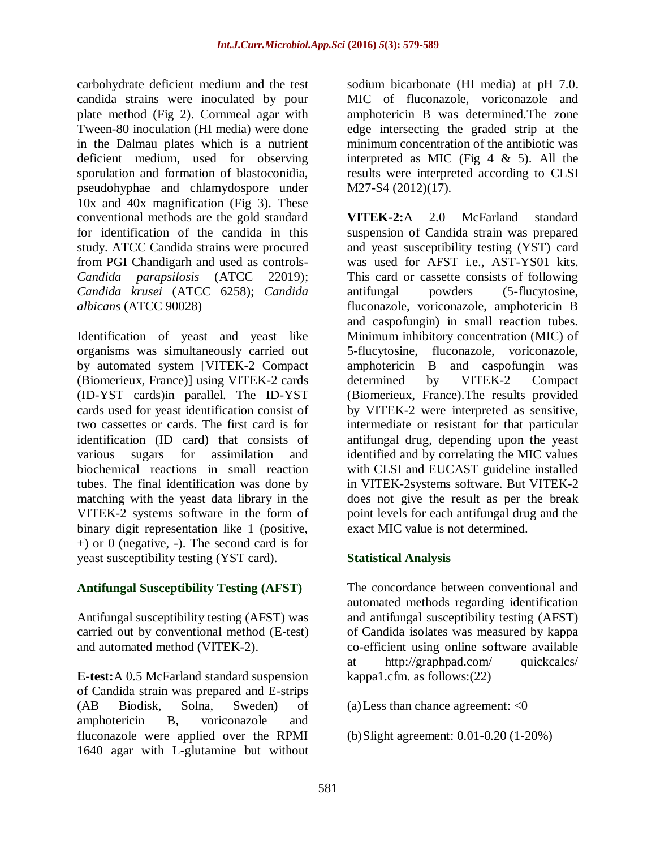carbohydrate deficient medium and the test candida strains were inoculated by pour plate method (Fig 2). Cornmeal agar with Tween-80 inoculation (HI media) were done in the Dalmau plates which is a nutrient deficient medium, used for observing sporulation and formation of blastoconidia, pseudohyphae and chlamydospore under 10x and 40x magnification (Fig 3). These conventional methods are the gold standard for identification of the candida in this study. ATCC Candida strains were procured from PGI Chandigarh and used as controls-*Candida parapsilosis* (ATCC 22019); *Candida krusei* (ATCC 6258); *Candida albicans* (ATCC 90028)

Identification of yeast and yeast like organisms was simultaneously carried out by automated system [VITEK-2 Compact (Biomerieux, France)] using VITEK-2 cards (ID-YST cards)in parallel. The ID-YST cards used for yeast identification consist of two cassettes or cards. The first card is for identification (ID card) that consists of various sugars for assimilation and biochemical reactions in small reaction tubes. The final identification was done by matching with the yeast data library in the VITEK-2 systems software in the form of binary digit representation like 1 (positive,  $+$ ) or 0 (negative,  $-$ ). The second card is for yeast susceptibility testing (YST card).

# **Antifungal Susceptibility Testing (AFST)**

Antifungal susceptibility testing (AFST) was carried out by conventional method (E-test) and automated method (VITEK-2).

**E-test:**A 0.5 McFarland standard suspension of Candida strain was prepared and E-strips (AB Biodisk, Solna, Sweden) of amphotericin B, voriconazole and fluconazole were applied over the RPMI 1640 agar with L-glutamine but without sodium bicarbonate (HI media) at pH 7.0. MIC of fluconazole, voriconazole and amphotericin B was determined.The zone edge intersecting the graded strip at the minimum concentration of the antibiotic was interpreted as MIC (Fig  $4 \& 5$ ). All the results were interpreted according to CLSI M27-S4 (2012)(17).

**VITEK-2:**A 2.0 McFarland standard suspension of Candida strain was prepared and yeast susceptibility testing (YST) card was used for AFST i.e., AST-YS01 kits. This card or cassette consists of following antifungal powders (5-flucytosine, fluconazole, voriconazole, amphotericin B and caspofungin) in small reaction tubes. Minimum inhibitory concentration (MIC) of 5-flucytosine, fluconazole, voriconazole, amphotericin B and caspofungin was determined by VITEK-2 Compact (Biomerieux, France).The results provided by VITEK-2 were interpreted as sensitive, intermediate or resistant for that particular antifungal drug, depending upon the yeast identified and by correlating the MIC values with CLSI and EUCAST guideline installed in VITEK-2systems software. But VITEK-2 does not give the result as per the break point levels for each antifungal drug and the exact MIC value is not determined.

# **Statistical Analysis**

The concordance between conventional and automated methods regarding identification and antifungal susceptibility testing (AFST) of Candida isolates was measured by kappa co-efficient using online software available at [http://graphpad.com/ quickcalcs/](http://graphpad.com/%20quickcalcs/%20kappa1.cfm)  [kappa1.cfm.](http://graphpad.com/%20quickcalcs/%20kappa1.cfm) as follows:(22)

(a)Less than chance agreement: <0

(b)Slight agreement: 0.01-0.20 (1-20%)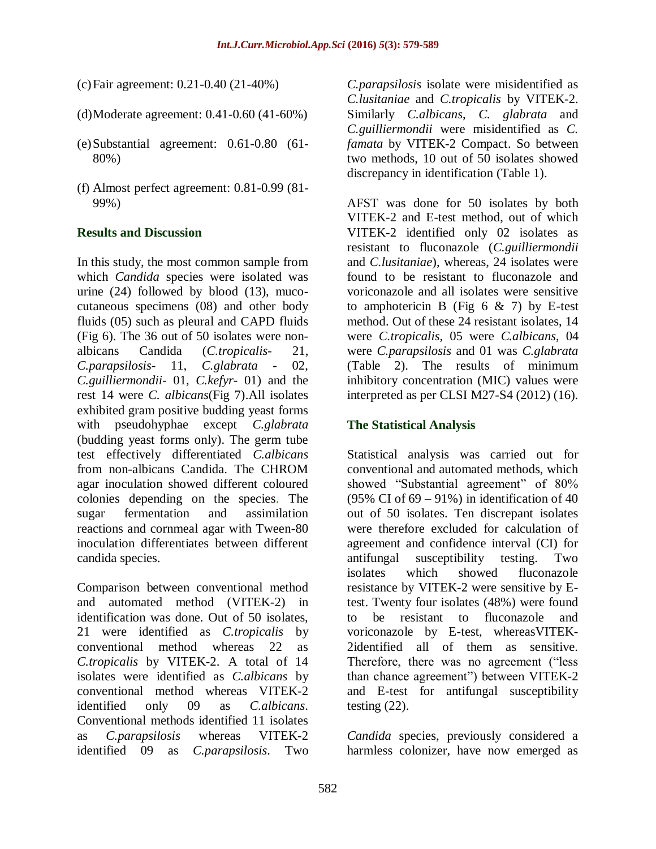(c)Fair agreement: 0.21-0.40 (21-40%)

- (d)Moderate agreement: 0.41-0.60 (41-60%)
- (e)Substantial agreement: 0.61-0.80 (61- 80%)
- (f) Almost perfect agreement: 0.81-0.99 (81- 99%)

#### **Results and Discussion**

In this study, the most common sample from which *Candida* species were isolated was urine (24) followed by blood (13), mucocutaneous specimens (08) and other body fluids (05) such as pleural and CAPD fluids (Fig 6). The 36 out of 50 isolates were nonalbicans Candida (*C.tropicalis*- 21, *C.parapsilosis*- 11, *C.glabrata* - 02, *C.guilliermondii*- 01, *C.kefyr*- 01) and the rest 14 were *C. albicans*(Fig 7).All isolates exhibited gram positive budding yeast forms with pseudohyphae except *C.glabrata* (budding yeast forms only). The germ tube test effectively differentiated *C.albicans* from non-albicans Candida. The CHROM agar inoculation showed different coloured colonies depending on the species. The sugar fermentation and assimilation reactions and cornmeal agar with Tween-80 inoculation differentiates between different candida species.

Comparison between conventional method and automated method (VITEK-2) in identification was done. Out of 50 isolates, 21 were identified as *C.tropicalis* by conventional method whereas 22 as *C.tropicalis* by VITEK-2. A total of 14 isolates were identified as *C.albicans* by conventional method whereas VITEK-2 identified only 09 as *C.albicans*. Conventional methods identified 11 isolates as *C.parapsilosis* whereas VITEK-2 identified 09 as *C.parapsilosis*. Two

*C.parapsilosis* isolate were misidentified as *C.lusitaniae* and *C.tropicalis* by VITEK-2. Similarly *C.albicans*, *C. glabrata* and *C.guilliermondii* were misidentified as *C. famata* by VITEK-2 Compact. So between two methods, 10 out of 50 isolates showed discrepancy in identification (Table 1).

AFST was done for 50 isolates by both VITEK-2 and E-test method, out of which VITEK-2 identified only 02 isolates as resistant to fluconazole (*C.guilliermondii* and *C.lusitaniae*), whereas, 24 isolates were found to be resistant to fluconazole and voriconazole and all isolates were sensitive to amphotericin B (Fig  $6 \& 7$ ) by E-test method. Out of these 24 resistant isolates, 14 were *C.tropicalis*, 05 were *C.albicans*, 04 were *C.parapsilosis* and 01 was *C.glabrata* (Table 2). The results of minimum inhibitory concentration (MIC) values were interpreted as per CLSI M27-S4 (2012) (16).

## **The Statistical Analysis**

Statistical analysis was carried out for conventional and automated methods, which showed "Substantial agreement" of 80% (95% CI of  $69 - 91%$ ) in identification of 40 out of 50 isolates. Ten discrepant isolates were therefore excluded for calculation of agreement and confidence interval (CI) for antifungal susceptibility testing. Two isolates which showed fluconazole resistance by VITEK-2 were sensitive by Etest. Twenty four isolates (48%) were found to be resistant to fluconazole and voriconazole by E-test, whereasVITEK-2identified all of them as sensitive. Therefore, there was no agreement ("less than chance agreement") between VITEK-2 and E-test for antifungal susceptibility testing (22).

*Candida* species, previously considered a harmless colonizer, have now emerged as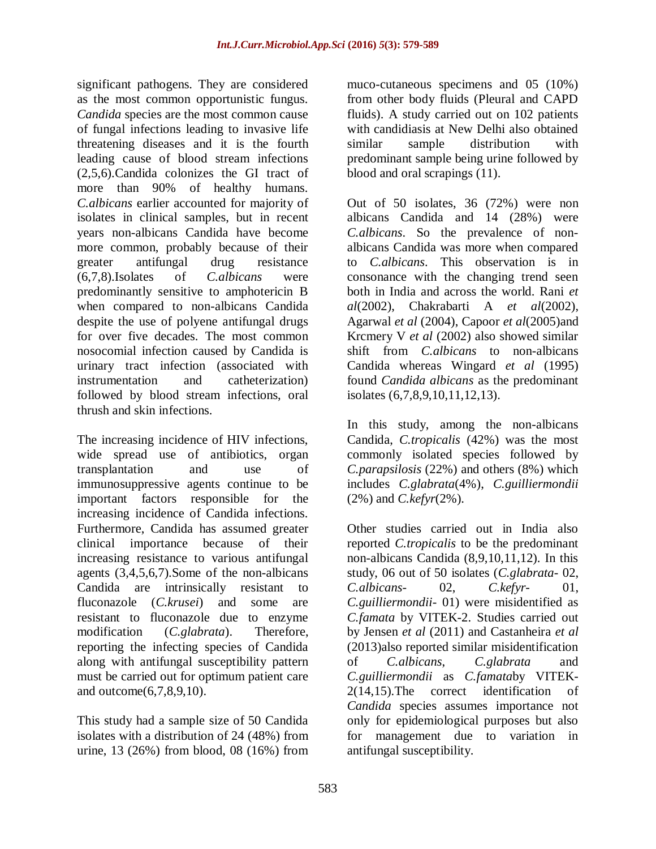significant pathogens. They are considered as the most common opportunistic fungus. *Candida* species are the most common cause of fungal infections leading to invasive life threatening diseases and it is the fourth leading cause of blood stream infections (2,5,6).Candida colonizes the GI tract of more than 90% of healthy humans. *C.albicans* earlier accounted for majority of isolates in clinical samples, but in recent years non-albicans Candida have become more common, probably because of their greater antifungal drug resistance (6,7,8).Isolates of *C.albicans* were predominantly sensitive to amphotericin B when compared to non-albicans Candida despite the use of polyene antifungal drugs for over five decades. The most common nosocomial infection caused by Candida is urinary tract infection (associated with instrumentation and catheterization) followed by blood stream infections, oral thrush and skin infections.

The increasing incidence of HIV infections, wide spread use of antibiotics, organ transplantation and use of immunosuppressive agents continue to be important factors responsible for the increasing incidence of Candida infections. Furthermore, Candida has assumed greater clinical importance because of their increasing resistance to various antifungal agents (3,4,5,6,7).Some of the non-albicans Candida are intrinsically resistant to fluconazole (*C.krusei*) and some are resistant to fluconazole due to enzyme modification (*C.glabrata*). Therefore, reporting the infecting species of Candida along with antifungal susceptibility pattern must be carried out for optimum patient care and outcome(6,7,8,9,10).

This study had a sample size of 50 Candida isolates with a distribution of 24 (48%) from urine, 13 (26%) from blood, 08 (16%) from muco-cutaneous specimens and 05 (10%) from other body fluids (Pleural and CAPD fluids). A study carried out on 102 patients with candidiasis at New Delhi also obtained similar sample distribution with predominant sample being urine followed by blood and oral scrapings (11).

Out of 50 isolates, 36 (72%) were non albicans Candida and 14 (28%) were *C.albicans*. So the prevalence of nonalbicans Candida was more when compared to *C.albicans*. This observation is in consonance with the changing trend seen both in India and across the world. Rani *et al*(2002), Chakrabarti A *et al*(2002), Agarwal *et al* (2004), Capoor *et al*(2005)and Krcmery V *et al* (2002) also showed similar shift from *C.albicans* to non-albicans Candida whereas Wingard *et al* (1995) found *Candida albicans* as the predominant isolates (6,7,8,9,10,11,12,13).

In this study, among the non-albicans Candida, *C.tropicalis* (42%) was the most commonly isolated species followed by *C.parapsilosis* (22%) and others (8%) which includes *C.glabrata*(4%), *C.guilliermondii* (2%) and *C.kefyr*(2%).

Other studies carried out in India also reported *C.tropicalis* to be the predominant non-albicans Candida (8,9,10,11,12). In this study, 06 out of 50 isolates (*C.glabrata-* 02, *C.albicans-* 02, *C.kefyr-* 01, *C.guilliermondii-* 01) were misidentified as *C.famata* by VITEK-2. Studies carried out by Jensen *et al* (2011) and Castanheira *et al* (2013)also reported similar misidentification of *C.albicans*, *C.glabrata* and *C.guilliermondii* as *C.famata*by VITEK*-*2(14,15).The correct identification of *Candida* species assumes importance not only for epidemiological purposes but also for management due to variation in antifungal susceptibility.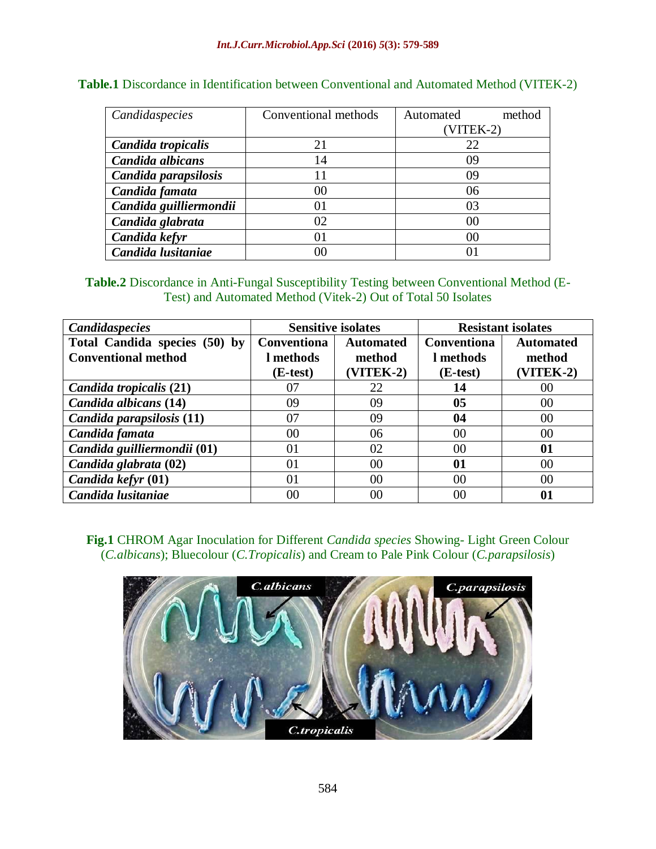| Candidaspecies         | Conventional methods | Automated<br>method |  |  |
|------------------------|----------------------|---------------------|--|--|
|                        |                      | $(VITER-2)$         |  |  |
| Candida tropicalis     | 21                   | 22                  |  |  |
| Candida albicans       | 14                   | 09                  |  |  |
| Candida parapsilosis   |                      | 09                  |  |  |
| Candida famata         | 00                   | 06                  |  |  |
| Candida guilliermondii | 01                   | 03                  |  |  |
| Candida glabrata       | 02                   | 00                  |  |  |
| Candida kefyr          | 01                   | 00                  |  |  |
| Candida lusitaniae     | DС                   |                     |  |  |

## **Table.1** Discordance in Identification between Conventional and Automated Method (VITEK-2)

#### **Table.2** Discordance in Anti-Fungal Susceptibility Testing between Conventional Method (E-Test) and Automated Method (Vitek-2) Out of Total 50 Isolates

| <b>Candidaspecies</b>         | <b>Sensitive isolates</b> |             | <b>Resistant isolates</b> |             |
|-------------------------------|---------------------------|-------------|---------------------------|-------------|
| Total Candida species (50) by | <b>Conventiona</b>        | Automated   | Conventiona               | Automated   |
| <b>Conventional method</b>    | l methods                 | method      | l methods                 | method      |
|                               | (E-test)                  | $(VITER-2)$ | (E-test)                  | $(VITER-2)$ |
| Candida tropicalis (21)       | 07                        | 22          | 14                        | 00          |
| Candida albicans (14)         | 09                        | 09          | 0 <sub>5</sub>            | 00          |
| Candida parapsilosis (11)     | 07                        | 09          | 04                        | 00          |
| Candida famata                | 00                        | 06          | 00                        | 00          |
| Candida guilliermondii (01)   | 01                        | 02          | 00                        | 01          |
| Candida glabrata (02)         | 01                        | 00          | 01                        | 00          |
| Candida kefyr (01)            | 01                        | 00          | 00                        | 00          |
| Candida lusitaniae            | 00                        | 00          | 00                        | 01          |

# **Fig.1** CHROM Agar Inoculation for Different *Candida species* Showing- Light Green Colour (*C.albicans*); Bluecolour (*C.Tropicalis*) and Cream to Pale Pink Colour (*C.parapsilosis*)

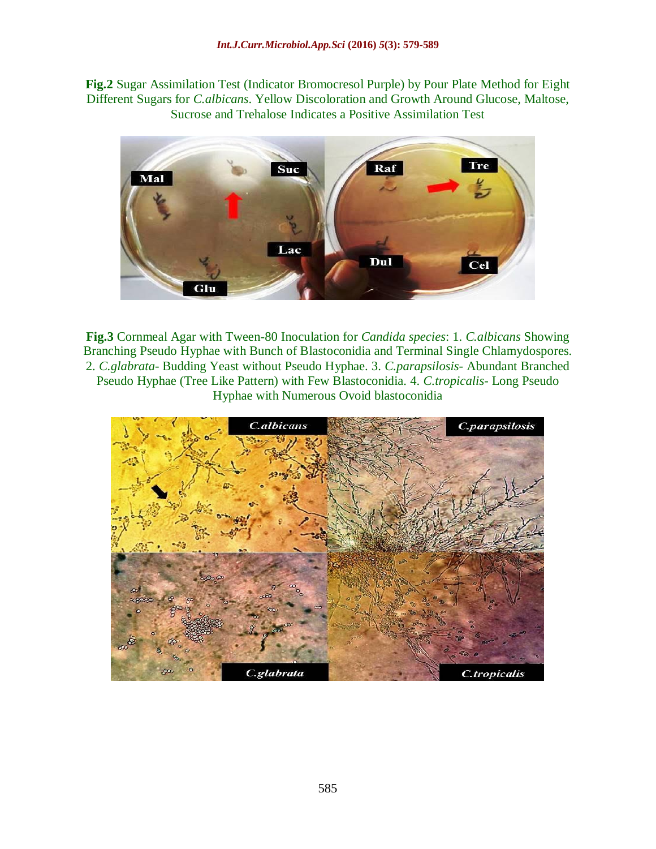**Fig.2** Sugar Assimilation Test (Indicator Bromocresol Purple) by Pour Plate Method for Eight Different Sugars for *C.albicans*. Yellow Discoloration and Growth Around Glucose, Maltose, Sucrose and Trehalose Indicates a Positive Assimilation Test



**Fig.3** Cornmeal Agar with Tween-80 Inoculation for *Candida species*: 1. *C.albicans* Showing Branching Pseudo Hyphae with Bunch of Blastoconidia and Terminal Single Chlamydospores. 2. *C.glabrata*- Budding Yeast without Pseudo Hyphae. 3. *C.parapsilosis*- Abundant Branched Pseudo Hyphae (Tree Like Pattern) with Few Blastoconidia. 4. *C.tropicalis*- Long Pseudo Hyphae with Numerous Ovoid blastoconidia

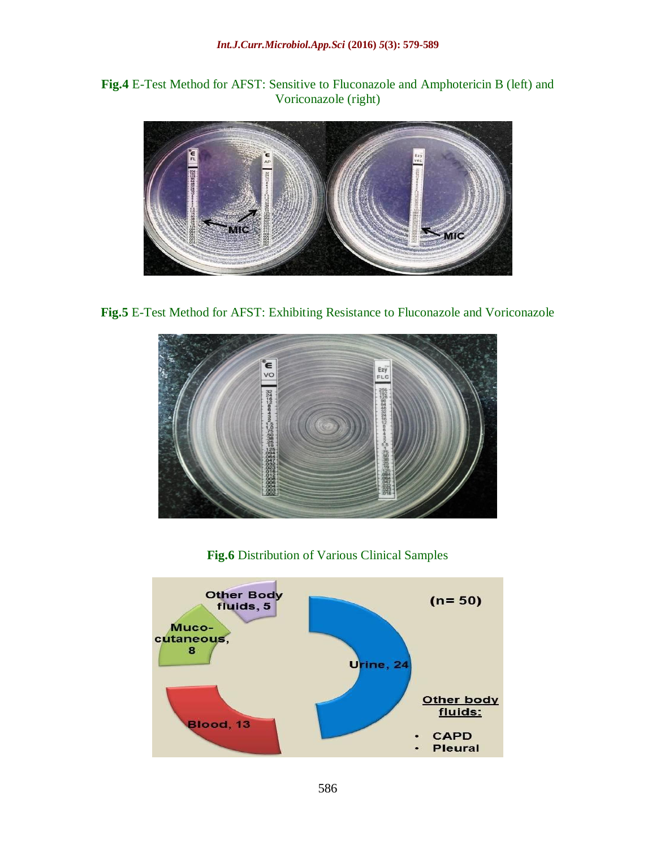# **Fig.4** E-Test Method for AFST: Sensitive to Fluconazole and Amphotericin B (left) and Voriconazole (right)



**Fig.5** E-Test Method for AFST: Exhibiting Resistance to Fluconazole and Voriconazole



**Fig.6** Distribution of Various Clinical Samples

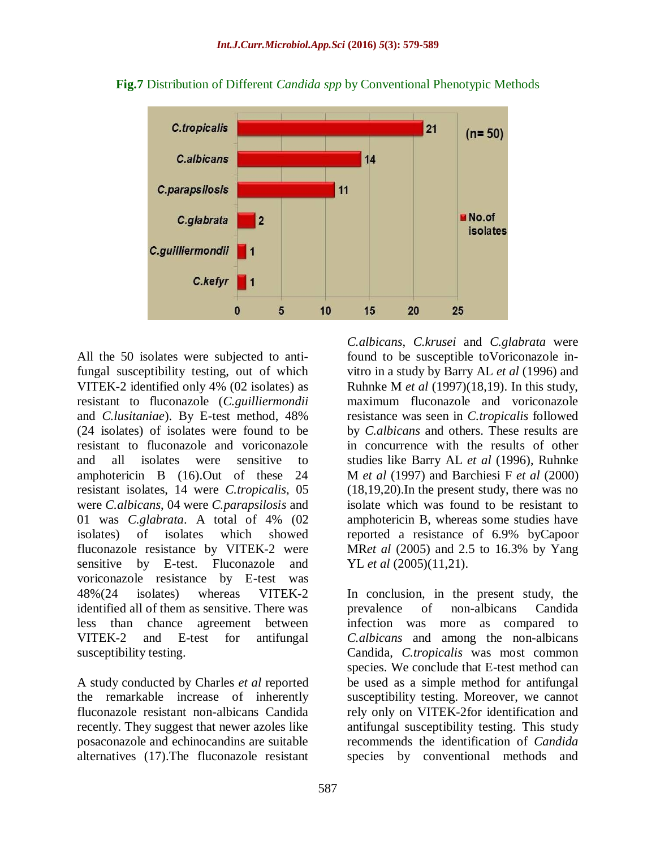

**Fig.7** Distribution of Different *Candida spp* by Conventional Phenotypic Methods

All the 50 isolates were subjected to antifungal susceptibility testing, out of which VITEK-2 identified only 4% (02 isolates) as resistant to fluconazole (*C.guilliermondii* and *C.lusitaniae*). By E-test method, 48% (24 isolates) of isolates were found to be resistant to fluconazole and voriconazole and all isolates were sensitive to amphotericin B (16).Out of these 24 resistant isolates, 14 were *C.tropicalis*, 05 were *C.albicans*, 04 were *C.parapsilosis* and 01 was *C.glabrata*. A total of 4% (02 isolates) of isolates which showed fluconazole resistance by VITEK-2 were sensitive by E-test. Fluconazole and voriconazole resistance by E-test was 48%(24 isolates) whereas VITEK-2 identified all of them as sensitive. There was less than chance agreement between VITEK-2 and E-test for antifungal susceptibility testing.

A study conducted by Charles *et al* reported the remarkable increase of inherently fluconazole resistant non-albicans Candida recently. They suggest that newer azoles like posaconazole and echinocandins are suitable alternatives (17).The fluconazole resistant

*C.albicans*, *C.krusei* and *C.glabrata* were found to be susceptible toVoriconazole invitro in a study by Barry AL *et al* (1996) and Ruhnke M *et al* (1997)(18,19). In this study, maximum fluconazole and voriconazole resistance was seen in *C.tropicalis* followed by *C.albicans* and others. These results are in concurrence with the results of other studies like Barry AL *et al* (1996), Ruhnke M *et al* (1997) and Barchiesi F *et al* (2000) (18,19,20).In the present study, there was no isolate which was found to be resistant to amphotericin B, whereas some studies have reported a resistance of 6.9% byCapoor MR*et al* (2005) and 2.5 to 16.3% by Yang YL *et al* (2005)(11,21).

In conclusion, in the present study, the prevalence of non-albicans Candida infection was more as compared to *C.albicans* and among the non-albicans Candida, *C.tropicalis* was most common species. We conclude that E-test method can be used as a simple method for antifungal susceptibility testing. Moreover, we cannot rely only on VITEK-2for identification and antifungal susceptibility testing. This study recommends the identification of *Candida* species by conventional methods and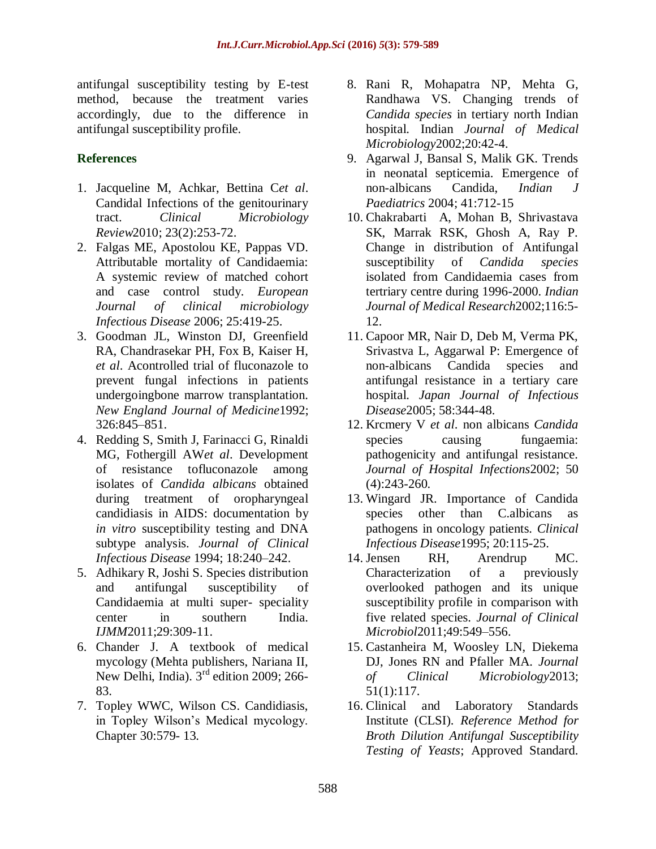antifungal susceptibility testing by E-test method, because the treatment varies accordingly, due to the difference in antifungal susceptibility profile.

# **References**

- 1. Jacqueline M, Achkar, Bettina C*et al*. Candidal Infections of the genitourinary tract. *Clinical Microbiology Review*2010; 23(2):253-72.
- 2. Falgas ME, Apostolou KE, Pappas VD. Attributable mortality of Candidaemia: A systemic review of matched cohort and case control study. *European Journal of clinical microbiology Infectious Disease* 2006; 25:419-25.
- 3. Goodman JL, Winston DJ, Greenfield RA, Chandrasekar PH, Fox B, Kaiser H, *et al*. Acontrolled trial of fluconazole to prevent fungal infections in patients undergoingbone marrow transplantation. *New England Journal of Medicine*1992; 326:845–851.
- 4. Redding S, Smith J, Farinacci G, Rinaldi MG, Fothergill AW*et al*. Development of resistance tofluconazole among isolates of *Candida albicans* obtained during treatment of oropharyngeal candidiasis in AIDS: documentation by *in vitro* susceptibility testing and DNA subtype analysis. *Journal of Clinical Infectious Disease* 1994; 18:240–242.
- 5. Adhikary R, Joshi S. Species distribution and antifungal susceptibility of Candidaemia at multi super- speciality center in southern India. *IJMM*2011;29:309-11.
- 6. Chander J. A textbook of medical mycology (Mehta publishers, Nariana II, New Delhi, India).  $3<sup>rd</sup>$  edition 2009; 266-83.
- 7. Topley WWC, Wilson CS. Candidiasis, in Topley Wilson's Medical mycology. Chapter 30:579- 13.
- 8. Rani R, Mohapatra NP, Mehta G, Randhawa VS. Changing trends of *Candida species* in tertiary north Indian hospital. Indian *Journal of Medical Microbiology*2002;20:42-4.
- 9. Agarwal J, Bansal S, Malik GK. Trends in neonatal septicemia. Emergence of non-albicans Candida, *Indian J Paediatrics* 2004; 41:712-15
- 10. Chakrabarti A, Mohan B, Shrivastava SK, Marrak RSK, Ghosh A, Ray P. Change in distribution of Antifungal susceptibility of *Candida species*  isolated from Candidaemia cases from tertriary centre during 1996-2000. *Indian Journal of Medical Research*2002;116:5- 12.
- 11. Capoor MR, Nair D, Deb M, Verma PK, Srivastva L, Aggarwal P: Emergence of non-albicans Candida species and antifungal resistance in a tertiary care hospital. *Japan Journal of Infectious Disease*2005; 58:344-48.
- 12. Krcmery V *et al*. non albicans *Candida* species causing fungaemia: pathogenicity and antifungal resistance. *Journal of Hospital Infections*2002; 50 (4):243-260.
- 13. Wingard JR. Importance of Candida species other than C.albicans as pathogens in oncology patients. *Clinical Infectious Disease*1995; 20:115-25.
- 14. Jensen RH, Arendrup MC. Characterization of a previously overlooked pathogen and its unique susceptibility profile in comparison with five related species. *Journal of Clinical Microbiol*2011;49:549–556.
- 15. Castanheira M, Woosley LN, Diekema DJ, Jones RN and Pfaller MA. *Journal of Clinical Microbiology*2013; 51(1):117.
- 16. Clinical and Laboratory Standards Institute (CLSI). *Reference Method for Broth Dilution Antifungal Susceptibility Testing of Yeasts*; Approved Standard.